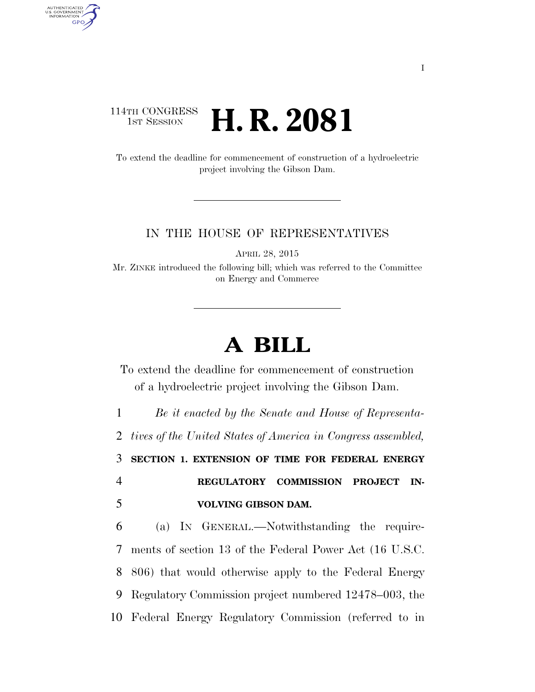## 114TH CONGRESS 1st Session **H. R. 2081**

AUTHENTICATED<br>U.S. GOVERNMENT<br>INFORMATION GPO

> To extend the deadline for commencement of construction of a hydroelectric project involving the Gibson Dam.

## IN THE HOUSE OF REPRESENTATIVES

APRIL 28, 2015

Mr. ZINKE introduced the following bill; which was referred to the Committee on Energy and Commerce

## **A BILL**

To extend the deadline for commencement of construction of a hydroelectric project involving the Gibson Dam.

 *Be it enacted by the Senate and House of Representa- tives of the United States of America in Congress assembled,*  **SECTION 1. EXTENSION OF TIME FOR FEDERAL ENERGY REGULATORY COMMISSION PROJECT IN- VOLVING GIBSON DAM.**  (a) IN GENERAL.—Notwithstanding the require- ments of section 13 of the Federal Power Act (16 U.S.C. 806) that would otherwise apply to the Federal Energy

9 Regulatory Commission project numbered 12478–003, the

10 Federal Energy Regulatory Commission (referred to in